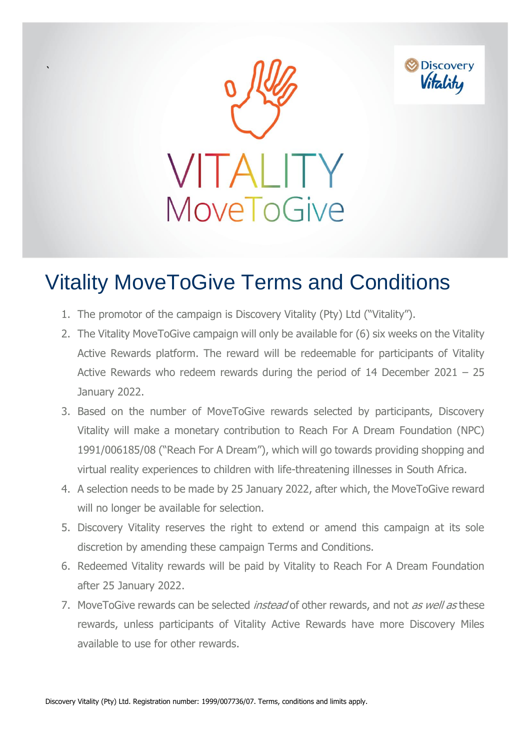

 $\ddot{\phantom{0}}$ 



## Vitality MoveToGive Terms and Conditions

- 1. The promotor of the campaign is Discovery Vitality (Pty) Ltd ("Vitality").
- 2. The Vitality MoveToGive campaign will only be available for (6) six weeks on the Vitality Active Rewards platform. The reward will be redeemable for participants of Vitality Active Rewards who redeem rewards during the period of 14 December 2021 – 25 January 2022.
- 3. Based on the number of MoveToGive rewards selected by participants, Discovery Vitality will make a monetary contribution to Reach For A Dream Foundation (NPC) 1991/006185/08 ("Reach For A Dream"), which will go towards providing shopping and virtual reality experiences to children with life-threatening illnesses in South Africa.
- 4. A selection needs to be made by 25 January 2022, after which, the MoveToGive reward will no longer be available for selection.
- 5. Discovery Vitality reserves the right to extend or amend this campaign at its sole discretion by amending these campaign Terms and Conditions.
- 6. Redeemed Vitality rewards will be paid by Vitality to Reach For A Dream Foundation after 25 January 2022.
- 7. MoveToGive rewards can be selected *instead* of other rewards, and not as well as these rewards, unless participants of Vitality Active Rewards have more Discovery Miles available to use for other rewards.